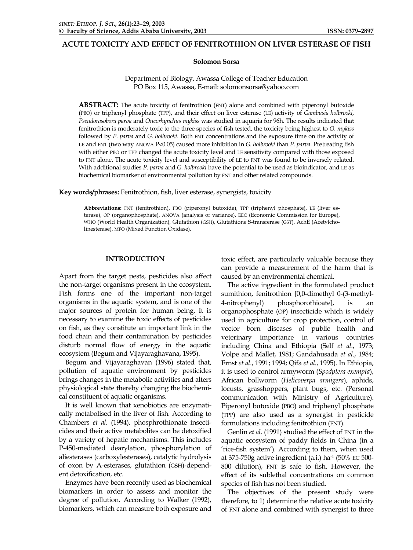# **ACUTE TOXICITY AND EFFECT OF FENITROTHION ON LIVER ESTERASE OF FISH**

## **Solomon Sorsa**

Department of Biology, Awassa College of Teacher Education PO Box 115, Awassa, E-mail: solomonsorsa@yahoo.com

**ABSTRACT:** The acute toxicity of fenitrothion (FNT) alone and combined with piperonyl butoxide (PBO) or triphenyl phosphate (TPP), and their effect on liver esterase (LE) activity of *Gambusia holbrooki*, *Pseudorasobora parva* and *Oncorhynchus mykiss* was studied in aquaria for 96h. The results indicated that fenitrothion is moderately toxic to the three species of fish tested, the toxicity being highest to *O. mykiss* followed by *P. parva* and *G. holbrooki*. Both FNT concentrations and the exposure time on the activity of LE and FNT (two way ANOVA P<0.05) caused more inhibition in *G. holbrooki* than *P. parva*. Pretreating fish with either PBO or TPP changed the acute toxicity level and LE sensitivity compared with those exposed to FNT alone. The acute toxicity level and susceptibility of LE to FNT was found to be inversely related. With additional studies *P. parva* and *G. holbrooki* have the potential to be used as bioindicator, and LE as biochemical biomarker of environmental pollution by FNT and other related compounds.

**Key words/phrases:** Fenitrothion, fish, liver esterase, synergists, toxicity

**Abbreviations:** FNT (fenitrothion), PBO (piperonyl butoxide), TPP (triphenyl phosphate), LE (liver esterase), OP (organophosphate), ANOVA (analysis of variance), EEC (Economic Commission for Europe), WHO (World Health Organization), Glutathion (GSH), Glutathione S-transferase (GST), AchE (Acetylcholinesterase), MFO (Mixed Function Oxidase).

## **INTRODUCTION**

Apart from the target pests, pesticides also affect the non-target organisms present in the ecosystem. Fish forms one of the important non-target organisms in the aquatic system, and is one of the major sources of protein for human being. It is necessary to examine the toxic effects of pesticides on fish, as they constitute an important link in the food chain and their contamination by pesticides disturb normal flow of energy in the aquatic ecosystem (Begum and Vijayaraghavana, 1995).

 Begum and Vijayaraghavan (1996) stated that, pollution of aquatic environment by pesticides brings changes in the metabolic activities and alters physiological state thereby changing the biochemical constituent of aquatic organisms.

 It is well known that xenobiotics are enzymatically metabolised in the liver of fish. According to Chambers *et al.* (1994), phosphrothionate insecticides and their active metabolites can be detoxified by a variety of hepatic mechanisms. This includes P-450-mediated dearylation, phosphorylation of aliesterases (carboxylesterases), catalytic hydrolysis of oxon by A-esterases, glutathion (GSH)-dependent detoxification, etc.

 Enzymes have been recently used as biochemical biomarkers in order to assess and monitor the degree of pollution. According to Walker (1992), biomarkers, which can measure both exposure and toxic effect, are particularly valuable because they can provide a measurement of the harm that is caused by an environmental chemical.

 The active ingredient in the formulated product sumithion, fenitrothion [0,0-dimethyl 0-(3-methyl-4-nitrophenyl) phosphorothioate], is organophosphate (OP) insecticide which is widely used in agriculture for crop protection, control of vector born diseases of public health and veterinary importance in various countries including China and Ethiopia (Self *et al.*, 1973; Volpe and Mallet, 1981; Gandahusada *et al*., 1984; Ernst *et al*., 1991; 1994; Qifa *et al*., 1995). In Ethiopia, it is used to control armyworm (*Spodptera exempta*), African bollworm (*Helicoverpa armigera*), aphids, locusts, grasshoppers, plant bugs, etc. (Personal communication with Ministry of Agriculture). Piperonyl butoxide (PBO) and triphenyl phosphate (TPP) are also used as a synergist in pesticide formulations including fenitrothion (FNT).

 Genlin *et al*. (1991) studied the effect of FNT in the aquatic ecosystem of paddy fields in China (in a 'rice-fish system'). According to them, when used at  $375-750g$  active ingredient (a.i.) ha<sup>-1</sup> (50% EC 500-800 dilution), FNT is safe to fish. However, the effect of its sublethal concentrations on common species of fish has not been studied.

 The objectives of the present study were therefore, to 1) determine the relative acute toxicity of FNT alone and combined with synergist to three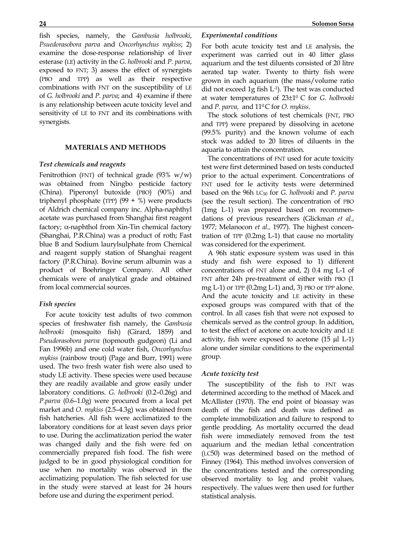fish species, namely, the *Gambusia holbrooki*, *Psuedorasobora parva* and *Oncorhynchus mykiss*; 2) examine the dose-response relationship of liver esterase (LE) activity in the *G. holbrooki* and *P. parva*, exposed to FNT; 3) assess the effect of synergists (PBO and TPP) as well as their respective combinations with FNT on the susceptibility of LE of *G. holbrooki* and *P. parva*; and 4) examine if there is any relationship between acute toxicity level and sensitivity of LE to FNT and its combinations with synergists.

# **MATERIALS AND METHODS**

## *Test chemicals and reagents*

Fenitrothion (FNT) of technical grade  $(93\% \text{ w/w})$ was obtained from Ningbo pesticide factory (China). Piperonyl butoxide (PBO) (90%) and triphenyl phosphate (TPP)  $(99 + %)$  were products of Aldrich chemical company inc. Alpha-naphthyl acetate was purchased from Shanghai first reagent factory; α-naphthol from Xin-Tin chemical factory (Shanghai, P.R.China) was a product of roth; Fast blue B and Sodium laurylsulphate from Chemical and reagent supply station of Shanghai reagent factory (P.R.China). Bovine serum albumin was a product of Boehringer Company. All other chemicals were of analytical grade and obtained from local commercial sources.

### *Fish species*

 For acute toxicity test adults of two common species of freshwater fish namely, the *Gambusia holbrooki* (mosquito fish) (Girard, 1859) and *Pseudorasobora parva* (topmouth gudgeon) (Li and Fan 1996b) and one cold water fish, *Oncorhynchus mykiss* (rainbow trout) (Page and Burr, 1991) were used. The two fresh water fish were also used to study LE activity. These species were used because they are readily available and grow easily under laboratory conditions. *G. holbrooki* (0.2–0.26g) and *P.parva* (0.6–1.0g) were procured from a local pet market and *O. mykiss* (2.5–4.3g) was obtained from fish hatcheries. All fish were acclimatized to the laboratory conditions for at least seven days prior to use. During the acclimatization period the water was changed daily and the fish were fed on commercially prepared fish food. The fish were judged to be in good physiological condition for use when no mortality was observed in the acclimatizing population. The fish selected for use in the study were starved at least for 24 hours before use and during the experiment period.

## *Experimental conditions*

For both acute toxicity test and LE analysis, the experiment was carried out in 40 litter glass aquarium and the test diluents consisted of 20 litre aerated tap water. Twenty to thirty fish were grown in each aquarium (the mass/volume ratio did not exceed 1g fish L-1). The test was conducted at water temperatures of 23±10 C for *G. holbrooki* and *P. parva,* and 110 C for *O. mykiss*.

 The stock solutions of test chemicals (FNT, PBO and TPP) were prepared by dissolving in acetone (99.5% purity) and the known volume of each stock was added to 20 litres of diluents in the aquaria to attain the concentration.

 The concentrations of FNT used for acute toxicity test were first determined based on tests conducted prior to the actual experiment. Concentrations of FNT used for le activity tests were determined based on the 96h LC50 for *G. holbrooki* and *P. parva* (see the result section). The concentration of PBO (1mg L-1) was prepared based on recommendations of previous researchers (Glickman *et al*., 1977; Melanocon *et al.,* 1977). The highest concentration of TPP (0.2mg L-1) that cause no mortality was considered for the experiment.

 A 96h static exposure system was used in this study and fish were exposed to 1) different concentrations of FNT alone and, 2) 0.4 mg L-1 of FNT after 24h pre-treatment of either with PBO (1 mg L-1) or TPP (0.2mg L-1) and, 3) PBO or TPP alone. And the acute toxicity and LE activity in these exposed groups was compared with that of the control. In all cases fish that were not exposed to chemicals served as the control group. In addition, to test the effect of acetone on acute toxicity and LE activity, fish were exposed to acetone (15 µl L-1) alone under similar conditions to the experimental group.

# *Acute toxicity test*

 The susceptibility of the fish to FNT was determined according to the method of Macek and McAllister (1970). The end point of bioassay was death of the fish and death was defined as complete immobilization and failure to respond to gentle prodding. As mortality occurred the dead fish were immediately removed from the test aquarium and the median lethal concentration (LC50) was determined based on the method of Finney (1964). This method involves conversion of the concentrations tested and the corresponding observed mortality to log and probit values, respectively. The values were then used for further statistical analysis.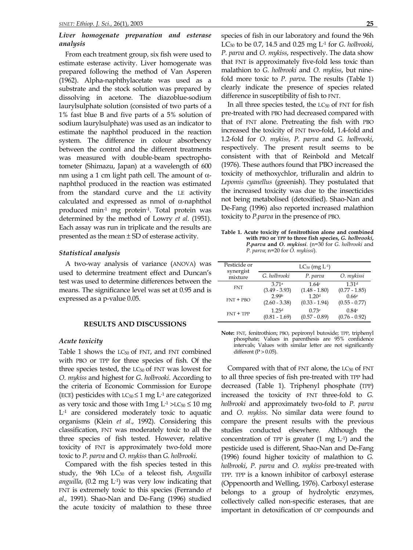# *Liver homogenate preparation and esterase analysis*

From each treatment group, six fish were used to estimate esterase activity. Liver homogenate was prepared following the method of Van Asperen (1962). Alpha-naphthylacetate was used as a substrate and the stock solution was prepared by dissolving in acetone. The diazoblue-sodium laurylsulphate solution (consisted of two parts of a 1% fast blue B and five parts of a 5% solution of sodium laurylsulphate) was used as an indicator to estimate the naphthol produced in the reaction system. The difference in colour absorbency between the control and the different treatments was measured with double-beam spectrophotometer (Shimazu, Japan) at a wavelength of 600 nm using a 1 cm light path cell. The amount of  $α$ naphthol produced in the reaction was estimated from the standard curve and the LE activity calculated and expressed as nmol of α-naphthol produced min<sup>-1</sup> mg protein<sup>-1</sup>. Total protein was determined by the method of Lowry *et al.* (1951). Each assay was run in triplicate and the results are presented as the mean ± SD of esterase activity.

# *Statistical analysis*

A two-way analysis of variance (ANOVA) was used to determine treatment effect and Duncan′s test was used to determine differences between the means. The significance level was set at 0.95 and is expressed as a p-value 0.05.

#### **RESULTS AND DISCUSSIONS**

### *Acute toxicity*

Table 1 shows the  $LC_{50}$  of FNT, and FNT combined with PBO or TPP for three species of fish. Of the three species tested, the  $LC_{50}$  of FNT was lowest for *O. mykiss* and highest for *G. holbrooki*. According to the criteria of Economic Commission for Europe (ECE) pesticides with  $LC_{50} \leq 1$  mg  $L$ <sup>-1</sup> are categorized as very toxic and those with  $1mg L^{-1} > LC_{50} \leq 10 mg$ L<sup>-1</sup> are considered moderately toxic to aquatic organisms (Klein *et al*., 1992). Considering this classification, FNT was moderately toxic to all the three species of fish tested. However, relative toxicity of FNT is approximately two-fold more toxic to *P. parva* and *O. mykiss* than *G. holbrooki*.

Compared with the fish species tested in this study, the 96h LC<sub>50</sub> of a teleost fish, *Anguilla anguilla*, (0.2 mg L-1) was very low indicating that FNT is extremely toxic to this species (Ferrando *et al.,* 1991). Shao-Nan and De-Fang (1996) studied the acute toxicity of malathion to these three

species of fish in our laboratory and found the 96h LC50 to be 0.7, 14.5 and 0.25 mg L-1 for *G. holbrooki*, *P. parva* and *O. mykiss*, respectively. The data show that FNT is approximately five-fold less toxic than malathion to *G. holbrooki* and *O. mykiss*, but ninefold more toxic to *P. parva*. The results (Table 1) clearly indicate the presence of species related difference in susceptibility of fish to FNT.

In all three species tested, the  $LC_{50}$  of FNT for fish pre-treated with PBO had decreased compared with that of FNT alone. Pretreating the fish with PBO increased the toxicity of FNT two-fold, 1.4-fold and 1.2-fold for *O. mykiss*, *P. parva* and *G. holbrooki*, respectively. The present result seems to be consistent with that of Reinbold and Metcalf (1976). These authors found that PBO increased the toxicity of methoxychlor, trifluralin and aldrin to *Lepomis cyanellus* (greenish). They postulated that the increased toxicity was due to the insecticides not being metabolised (detoxified). Shao-Nan and De-Fang (1996) also reported increased malathion toxicity to *P.parva* in the presence of PBO.

**Table 1. Acute toxicity of fenitrothion alone and combined with PBO or TPP to three fish species,** *G. holbrooki***,**  *P.parva* **and** *O. mykissi*. (n=30 for *G. holbrooki* and *P. parva*; n=20 for *O. mykissi*).

| Pesticide or<br>synergist<br>mixture | $LC_{50}$ (mg $L^{-1}$ ) |                   |                   |  |  |
|--------------------------------------|--------------------------|-------------------|-------------------|--|--|
|                                      | G. holbrooki             | P. parva          | O. mykissi        |  |  |
| <b>FNT</b>                           | 371a                     | 1 $64c$           | 1.31 <sup>d</sup> |  |  |
|                                      | $(3.49 - 3.93)$          | $(1.48 - 1.80)$   | $(0.77 - 1.85)$   |  |  |
| $FNT + PBO$                          | 2 99b                    | 1.20 <sup>d</sup> | 0.66 <sup>e</sup> |  |  |
|                                      | $(2.60 - 3.38)$          | $(0.33 - 1.94)$   | $(0.55 - 0.77)$   |  |  |
| $FNT + TPP$                          | 1.25d                    | 0.73e             | 0.84e             |  |  |
|                                      | $(0.81 - 1.69)$          | $(0.57 - 0.89)$   | $(0.76 - 0.92)$   |  |  |

**Note:** FNT, fenitrothion; PBO, pepironyl butoxide; TPP, triphenyl phosphate; Values in parenthesis are 95% confidence intervals; Values with similar letter are not significantly different  $(P > 0.05)$ .

Compared with that of  $FNT$  alone, the  $LC_{50}$  of  $FNT$ to all three species of fish pre-treated with TPP had decreased (Table 1). Triphenyl phosphate (TPP) increased the toxicity of FNT three-fold to *G. holbrooki* and approximately two-fold to *P. parva* and *O. mykiss*. No similar data were found to compare the present results with the previous studies conducted elsewhere. Although the concentration of TPP is greater  $(1 \text{ mg } L^{-1})$  and the pesticide used is different, Shao-Nan and De-Fang (1996) found higher toxicity of malathion to *G. holbrooki*, *P. parva* and *O. mykiss* pre-treated with TPP. TPP is a known inhibitor of carboxyl esterase (Oppenoorth and Welling, 1976). Carboxyl esterase belongs to a group of hydrolytic enzymes, collectively called non-specific esterases, that are important in detoxification of OP compounds and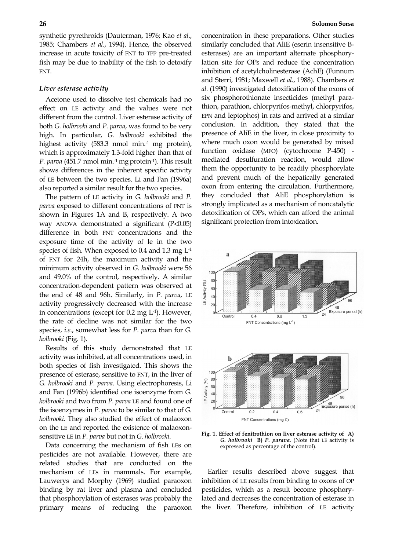synthetic pyrethroids (Dauterman, 1976; Kao *et al*., 1985; Chambers *et al*., 1994). Hence, the observed increase in acute toxicity of FNT to TPP pre-treated fish may be due to inability of the fish to detoxify FNT.

## *Liver esterase activity*

Acetone used to dissolve test chemicals had no effect on LE activity and the values were not different from the control. Liver esterase activity of both *G. holbrooki* and *P. parva*, was found to be very high. In particular, *G. holbrooki* exhibited the highest activity (583.3 nmol min.<sup>-1</sup> mg protein), which is approximately 1.3-fold higher than that of *P. parva* (451.7 nmol min.<sup>-1</sup> mg protein<sup>-1</sup>). This result shows differences in the inherent specific activity of LE between the two species. Li and Fan (1996a) also reported a similar result for the two species.

The pattern of LE activity in *G. holbrooki* and *P. parva* exposed to different concentrations of FNT is shown in Figures 1A and B, respectively. A two way ANOVA demonstrated a significant (P<0.05) difference in both FNT concentrations and the exposure time of the activity of le in the two species of fish. When exposed to 0.4 and 1.3 mg L-1 of FNT for 24h, the maximum activity and the minimum activity observed in *G. holbrooki* were 56 and 49.0% of the control, respectively. A similar concentration-dependent pattern was observed at the end of 48 and 96h. Similarly, in *P. parva*, LE activity progressively decreased with the increase in concentrations (except for 0.2 mg L-1). However, the rate of decline was not similar for the two species, *i.e*., somewhat less for *P. parva* than for *G. holbrooki* (Fig. 1).

Results of this study demonstrated that LE activity was inhibited, at all concentrations used, in both species of fish investigated. This shows the presence of esterase, sensitive to FNT, in the liver of *G. holbrooki* and *P. parva*. Using electrophoresis, Li and Fan (1996b) identified one isoenzyme from *G. holbrooki* and two from *P. parva* LE and found one of the isoenzymes in *P. parva* to be similar to that of *G. holbrooki*. They also studied the effect of malaoxon on the LE and reported the existence of malaoxonsensitive LE in *P. parva* but not in *G. holbrooki*.

Data concerning the mechanism of fish LEs on pesticides are not available. However, there are related studies that are conducted on the mechanism of LEs in mammals. For example, Lauwerys and Morphy (1969) studied paraoxon binding by rat liver and plasma and concluded that phosphorylation of esterases was probably the primary means of reducing the paraoxon

concentration in these preparations. Other studies similarly concluded that AliE (eserin insensitive Besterases) are an important alternate phosphorylation site for OPs and reduce the concentration inhibition of acetylcholinesterase (AchE) (Funnum and Sterri, 1981; Maxwell *et al*., 1988). Chambers *et al*. (1990) investigated detoxification of the oxons of six phosphorothionate insecticides (methyl parathion, parathion, chlorpyrifos-methyl, chlorpyrifos, EPN and leptophos) in rats and arrived at a similar conclusion. In addition, they stated that the presence of AliE in the liver, in close proximity to where much oxon would be generated by mixed function oxidase (MFO) (cytochrome P-450) mediated desulfuration reaction, would allow them the opportunity to be readily phosphorylate and prevent much of the hepatically generated oxon from entering the circulation. Furthermore, they concluded that AliE phosphorylation is strongly implicated as a mechanism of noncatalytic detoxification of OPs, which can afford the animal significant protection from intoxication.



**Fig. 1. Effect of fenitrothion on liver esterase activity of A)**  *G. holbrooki* **B)** *P. parava.* (Note that LE activity is expressed as percentage of the control).

Earlier results described above suggest that inhibition of LE results from binding to oxons of OP pesticides, which as a result become phosphorylated and decreases the concentration of esterase in the liver. Therefore, inhibition of LE activity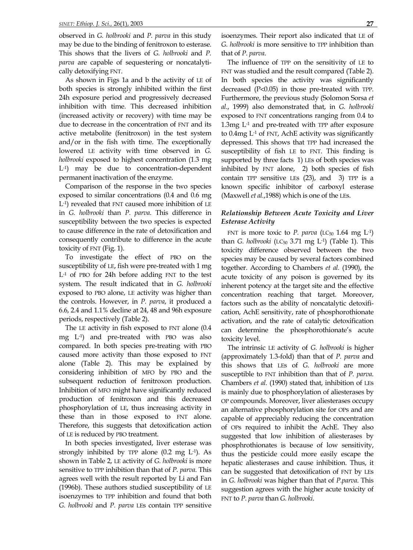observed in *G. holbrooki* and *P. parva* in this study may be due to the binding of fenitroxon to esterase. This shows that the livers of *G. holbrooki* and *P. parva* are capable of sequestering or noncatalytically detoxifying FNT.

As shown in Figs 1a and b the activity of LE of both species is strongly inhibited within the first 24h exposure period and progressively decreased inhibition with time. This decreased inhibition (increased activity or recovery) with time may be due to decrease in the concentration of FNT and its active metabolite (fenitroxon) in the test system and/or in the fish with time. The exceptionally lowered LE activity with time observed in *G. holbrooki* exposed to highest concentration (1.3 mg L-1) may be due to concentration-dependent permanent inactivation of the enzyme.

Comparison of the response in the two species exposed to similar concentrations (0.4 and 0.6 mg L-1) revealed that FNT caused more inhibition of LE in *G. holbrooki* than *P. parva*. This difference in susceptibility between the two species is expected to cause difference in the rate of detoxification and consequently contribute to difference in the acute toxicity of FNT (Fig. 1).

To investigate the effect of PBO on the susceptibility of LE, fish were pre-treated with 1 mg  $L<sup>-1</sup>$  of PBO for 24h before adding FNT to the test system. The result indicated that in *G. holbrooki* exposed to PBO alone, LE activity was higher than the controls. However, in *P. parva*, it produced a 6.6, 2.4 and 1.1% decline at 24, 48 and 96h exposure periods, respectively (Table 2).

The LE activity in fish exposed to FNT alone  $(0.4)$ mg L-1) and pre-treated with PBO was also compared. In both species pre-treating with PBO caused more activity than those exposed to FNT alone (Table 2). This may be explained by considering inhibition of MFO by PBO and the subsequent reduction of fenitroxon production. Inhibition of MFO might have significantly reduced production of fenitroxon and this decreased phosphorylation of LE, thus increasing activity in these than in those exposed to FNT alone. Therefore, this suggests that detoxification action of LE is reduced by PBO treatment.

In both species investigated, liver esterase was strongly inhibited by TPP alone  $(0.2 \text{ mg } L^{-1})$ . As shown in Table 2, LE activity of *G. holbrooki* is more sensitive to TPP inhibition than that of *P. parva*. This agrees well with the result reported by Li and Fan (1996b). These authors studied susceptibility of LE isoenzymes to TPP inhibition and found that both *G. holbrooki* and *P. parva* LEs contain TPP sensitive

isoenzymes. Their report also indicated that LE of *G. holbrooki* is more sensitive to TPP inhibition than that of *P. parva*.

The influence of TPP on the sensitivity of LE to FNT was studied and the result compared (Table 2). In both species the activity was significantly decreased (P<0.05) in those pre-treated with TPP. Furthermore, the previous study (Solomon Sorsa *et al*., 1999) also demonstrated that, in *G. holbrooki* exposed to FNT concentrations ranging from 0.4 to 1.3mg  $L<sup>-1</sup>$  and pre-treated with TPP after exposure to 0.4mg L-1 of FNT, AchE activity was significantly depressed. This shows that TPP had increased the susceptibility of fish LE to FNT. This finding is supported by three facts 1) LEs of both species was inhibited by FNT alone, 2) both species of fish contain TPP sensitive LEs  $(23)$ , and  $3)$  TPP is a known specific inhibitor of carboxyl esterase (Maxwell *et al.*,1988) which is one of the LEs.

# *Relationship Between Acute Toxicity and Liver Esterase Activity*

FNT is more toxic to *P. parva* ( $LC_{50}$  1.64 mg  $L^{-1}$ ) than *G. holbrooki* ( $LC_{50}$  3.71 mg  $L^{-1}$ ) (Table 1). This toxicity difference observed between the two species may be caused by several factors combined together. According to Chambers *et al.* (1990), the acute toxicity of any poison is governed by its inherent potency at the target site and the effective concentration reaching that target. Moreover, factors such as the ability of noncatalytic detoxification, AchE sensitivity, rate of phosphorothionate activation, and the rate of catalytic detoxification can determine the phosphorothionate's acute toxicity level.

 The intrinsic LE activity of *G. holbrooki* is higher (approximately 1.3-fold) than that of *P. parva* and this shows that LEs of *G. holbrooki* are more susceptible to FNT inhibition than that of *P. parva*. Chambers *et al.* (1990) stated that, inhibition of LEs is mainly due to phosphorylation of aliesterases by OP compounds. Moreover, liver aliesterases occupy an alternative phosphorylation site for OPs and are capable of appreciably reducing the concentration of OPs required to inhibit the AchE. They also suggested that low inhibition of aliesterases by phosphrothionates is because of low sensitivity, thus the pesticide could more easily escape the hepatic aliesterases and cause inhibition. Thus, it can be suggested that detoxification of FNT by LEs in *G. holbrooki* was higher than that of *P.parva*. This suggestion agrees with the higher acute toxicity of FNT to *P. parva* than *G. holbrooki*.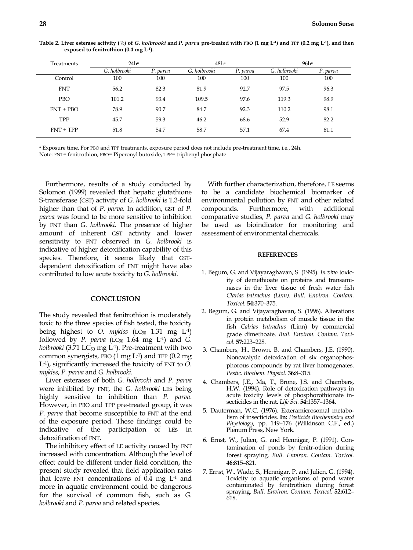| Treatments  | 24h <sup>a</sup> |          | 48h <sup>a</sup> |          | 96h <sup>a</sup> |          |
|-------------|------------------|----------|------------------|----------|------------------|----------|
|             | G. holbrooki     | P. parva | G. holbrooki     | P. parva | G. holbrooki     | P. parva |
| Control     | 100              | 100      | 100              | 100      | 100              | 100      |
| <b>FNT</b>  | 56.2             | 82.3     | 81.9             | 92.7     | 97.5             | 96.3     |
| <b>PBO</b>  | 101.2            | 93.4     | 109.5            | 97.6     | 119.3            | 98.9     |
| $FNT + PBO$ | 78.9             | 90.7     | 84.7             | 92.3     | 110.2            | 98.1     |
| <b>TPP</b>  | 45.7             | 59.3     | 46.2             | 68.6     | 52.9             | 82.2     |
| $FNT + TPP$ | 51.8             | 54.7     | 58.7             | 57.1     | 67.4             | 61.1     |
|             |                  |          |                  |          |                  |          |

**Table 2. Liver esterase activity (%) of** *G. holbrooki* **and** *P. parva* **pre-treated with PBO (1 mg L-1) and TPP (0.2 mg L-1), and then exposed to fenitrothion (0.4 mg L-1).** 

a Exposure time. For PBO and TPP treatments, exposure period does not include pre-treatment time, i.e., 24h. Note: FNT= fenitrothion, PBO= Piperonyl butoxide, TPP= triphenyl phosphate

 Furthermore, results of a study conducted by Solomon (1999) revealed that hepatic glutathione S-transferase (GST) activity of *G. holbrooki* is 1.3-fold higher than that of *P. parva*. In addition, GST of *P. parva* was found to be more sensitive to inhibition by FNT than *G. holbrooki*. The presence of higher amount of inherent GST activity and lower sensitivity to FNT observed in *G. holbrooki* is indicative of higher detoxification capability of this species. Therefore, it seems likely that GSTdependent detoxification of FNT might have also contributed to low acute toxicity to *G. holbrooki*.

### **CONCLUSION**

The study revealed that fenitrothion is moderately toxic to the three species of fish tested, the toxicity being highest to *O. mykiss* ( $LC_{50}$  1.31 mg  $L^{-1}$ ) followed by *P. parva* ( $LC_{50}$  1.64 mg  $L^{-1}$ ) and *G. holbrooki* (3.71  $LC_{50}$  mg  $L^{-1}$ ). Pre-treatment with two common synergists, PBO  $(1 \text{ mg } L^{-1})$  and TPP  $(0.2 \text{ mg})$ L-1), significantly increased the toxicity of FNT to *O. mykiss*, *P. parva* and *G. holbrooki*.

Liver esterases of both *G. holbrooki* and *P. parva* were inhibited by FNT, the *G. holbrooki* LEs being highly sensitive to inhibition than *P. parva*. However, in PBO and TPP pre-treated group, it was *P. parva* that become susceptible to FNT at the end of the exposure period. These findings could be indicative of the participation of LEs in detoxification of FNT.

 The inhibitory effect of LE activity caused by FNT increased with concentration. Although the level of effect could be different under field condition, the present study revealed that field application rates that leave FNT concentrations of  $0.4 \text{ mg } L^{-1}$  and more in aquatic environment could be dangerous for the survival of common fish, such as *G. holbrooki* and *P. parva* and related species.

With further characterization, therefore, LE seems to be a candidate biochemical biomarker of environmental pollution by FNT and other related compounds. Furthermore, with additional comparative studies, *P. parva* and *G. holbrooki* may be used as bioindicator for monitoring and assessment of environmental chemicals.

#### **REFERENCES**

- 1. Begum, G. and Vijayaraghavan, S. (1995). *In vivo* toxicity of demethioate on proteins and transaminases in the liver tissue of fresh water fish *Clarias batrachus (Linn)*. *Bull. Environ. Contam. Toxicol.* **54:**370–375.
- 2. Begum, G. and Vijayaraghavan, S. (1996). Alterations in protein metabolism of muscle tissue in the fish *Calrias batrachus* (Linn) by commercial grade dimethoate. *Bull. Environ. Contam. Toxicol.* **57:**223–228.
- 3. Chambers, H., Brown, B. and Chambers, J.E. (1990). Noncatalytic detoxication of six organophosphorous compounds by rat liver homogenates. *Pestic. Biochem. Physiol.* **36:**8–315.
- 4. Chambers, J.E., Ma, T., Brone, J.S. and Chambers, H.W. (1994). Role of detoxication pathways in acute toxicity levels of phosphorothionate insecticides in the rat. *Life Sci.* **54:**1357–1364.
- 5. Dauterman, W.C. (1976). Exteramicrosomal metabolism of insecticides. **In:** *Pesticide Biochemistry and Physiology,* pp. 149–176 (Wilkinson C.F., ed.) Plenum Press, New York.
- 6. Ernst, W., Julien, G. and Hennigar, P. (1991). Contamination of ponds by fenitr-othion during forest spraying. *Bull. Environ. Contam. Toxicol.*  **46:**815–821.
- 7. Ernst, W., Wade, S., Hennigar, P. and Julien, G. (1994). Toxicity to aquatic organisms of pond water contaminated by fenitrothion during forest spraying. *Bull. Environ. Contam. Toxicol.* **52:**612– 618.